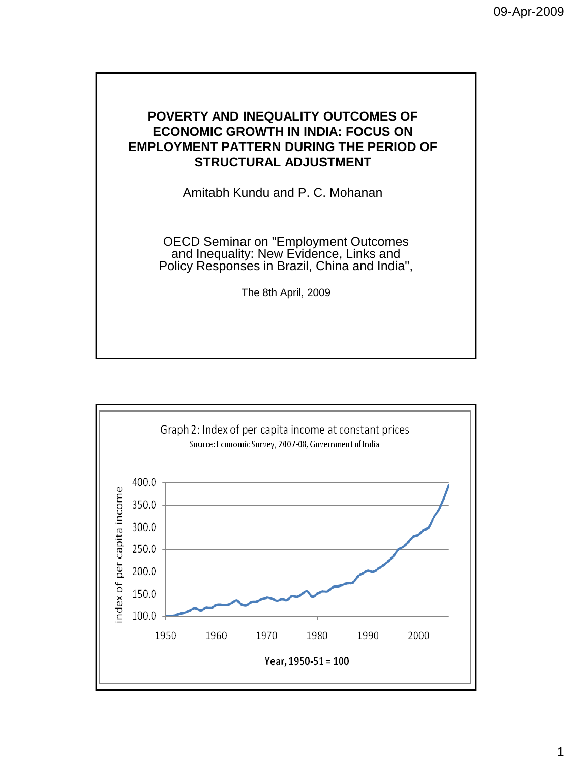## **POVERTY AND INEQUALITY OUTCOMES OF ECONOMIC GROWTH IN INDIA: FOCUS ON EMPLOYMENT PATTERN DURING THE PERIOD OF STRUCTURAL ADJUSTMENT**

Amitabh Kundu and P. C. Mohanan

OECD Seminar on "Employment Outcomes and Inequality: New Evidence, Links and Policy Responses in Brazil, China and India",

The 8th April, 2009

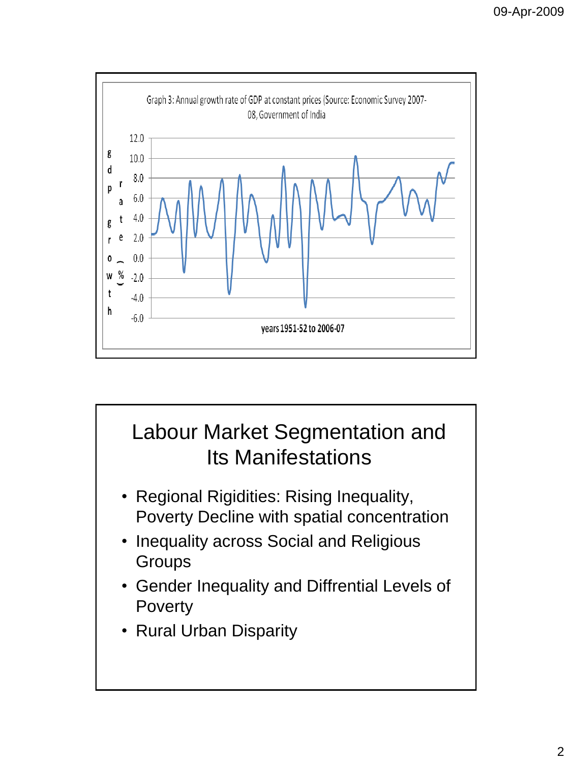

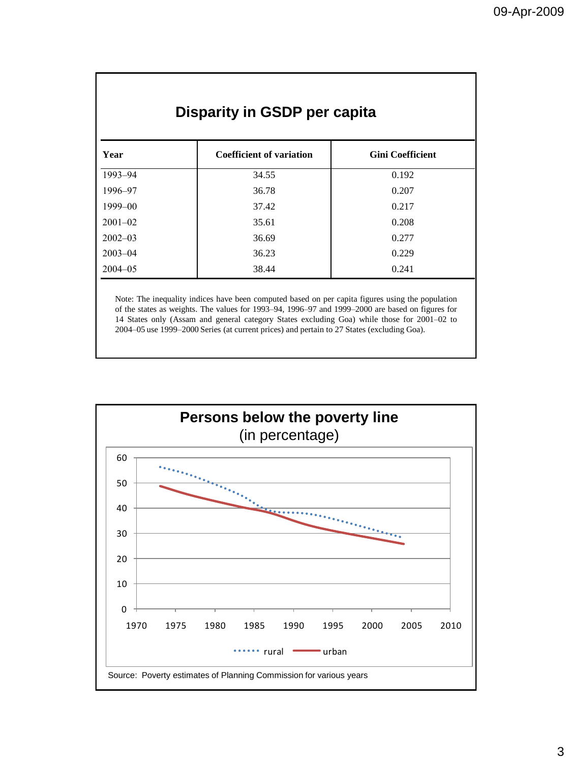| Disparity in GSDP per capita |                                 |                         |  |  |  |  |  |  |
|------------------------------|---------------------------------|-------------------------|--|--|--|--|--|--|
| Year                         | <b>Coefficient of variation</b> | <b>Gini Coefficient</b> |  |  |  |  |  |  |
| 1993-94                      | 34.55                           | 0.192                   |  |  |  |  |  |  |
| 1996–97                      | 36.78                           | 0.207                   |  |  |  |  |  |  |
| 1999-00                      | 37.42                           | 0.217                   |  |  |  |  |  |  |
| $2001 - 02$                  | 35.61                           | 0.208                   |  |  |  |  |  |  |
| $2002 - 03$                  | 36.69                           | 0.277                   |  |  |  |  |  |  |
| $2003 - 04$                  | 36.23                           | 0.229                   |  |  |  |  |  |  |
| $2004 - 05$                  | 38.44                           | 0.241                   |  |  |  |  |  |  |

Note: The inequality indices have been computed based on per capita figures using the population of the states as weights. The values for 1993–94, 1996–97 and 1999–2000 are based on figures for 14 States only (Assam and general category States excluding Goa) while those for 2001–02 to 2004–05 use 1999–2000 Series (at current prices) and pertain to 27 States (excluding Goa).

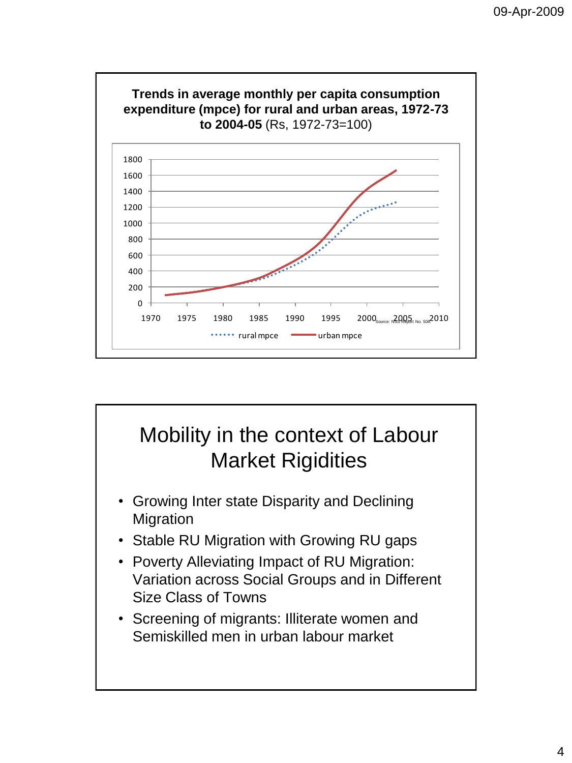

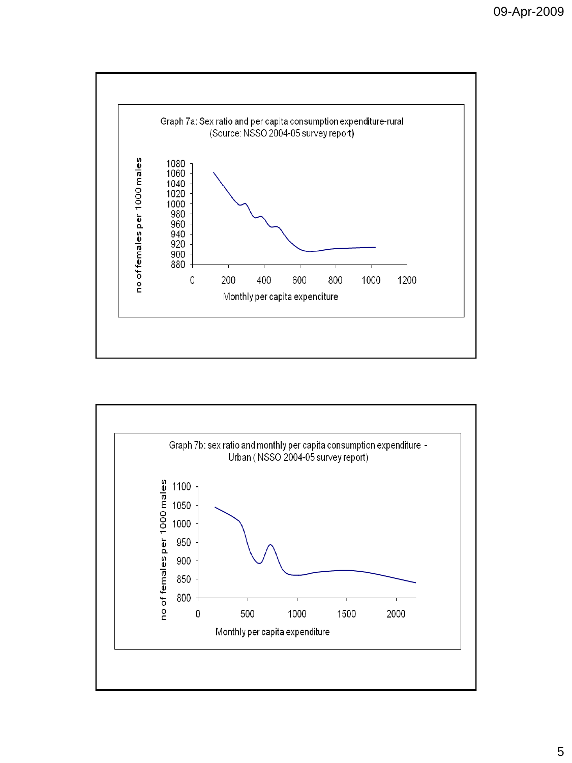

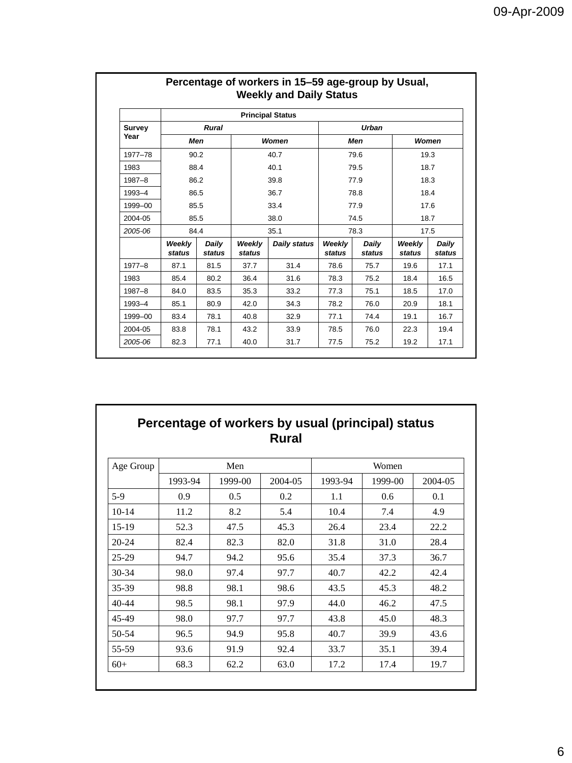|            |                  |                 |                  | <b>Principal Status</b> |                  |                 |                  |                 |  |
|------------|------------------|-----------------|------------------|-------------------------|------------------|-----------------|------------------|-----------------|--|
| Survey     |                  | <b>Rural</b>    |                  | <b>Urban</b>            |                  |                 |                  |                 |  |
| Year       | Men              |                 |                  | <b>Women</b>            |                  | Men             | Women            |                 |  |
| 1977-78    | 90.2             |                 |                  | 40.7                    |                  | 79.6            | 19.3             |                 |  |
| 1983       | 88.4             |                 |                  | 40.1                    |                  | 79.5            |                  | 18.7            |  |
| 1987-8     | 86.2             |                 | 39.8             |                         | 77.9             |                 | 18.3             |                 |  |
| 1993-4     | 86.5             |                 | 36.7             |                         | 78.8             |                 | 18.4             |                 |  |
| 1999-00    | 85.5             |                 | 33.4             |                         | 77.9             |                 | 17.6             |                 |  |
| 2004-05    | 85.5             |                 | 38.0             |                         |                  | 74.5            | 18.7             |                 |  |
| 2005-06    | 84.4             |                 | 35.1             | 78.3                    |                  | 17.5            |                  |                 |  |
|            | Weekly<br>status | Daily<br>status | Weekly<br>status | Daily status            | Weekly<br>status | Daily<br>status | Weekly<br>status | Daily<br>status |  |
| $1977 - 8$ | 87.1             | 81.5            | 37.7             | 31.4                    | 78.6             | 75.7            | 19.6             | 17.1            |  |
| 1983       | 85.4             | 80.2            | 36.4             | 31.6                    | 78.3             | 75.2            | 18.4             | 16.5            |  |
| 1987-8     | 84.0             | 83.5            | 35.3             | 33.2                    | 77.3             | 75.1            | 18.5             | 17.0            |  |
| 1993-4     | 85.1             | 80.9            | 42.0             | 34.3                    | 78.2             | 76.0            | 20.9             | 18.1            |  |
| 1999-00    | 83.4             | 78.1            | 40.8             | 32.9                    | 77.1             | 74.4            | 19.1             | 16.7            |  |
| 2004-05    | 83.8             | 78.1            | 43.2             | 33.9                    | 78.5             | 76.0            | 22.3             | 19.4            |  |
| 2005-06    | 82.3             | 77.1            | 40.0             | 31.7                    | 77.5             | 75.2            | 19.2             | 17.1            |  |

# **Percentage of workers in 15–59 age-group by Usual,**

### **Percentage of workers by usual (principal) status Rural**

| Age Group |         | Men     |         | Women   |         |         |
|-----------|---------|---------|---------|---------|---------|---------|
|           | 1993-94 | 1999-00 | 2004-05 | 1993-94 | 1999-00 | 2004-05 |
| $5-9$     | 0.9     | 0.5     | 0.2     | 1.1     | 0.6     | 0.1     |
| $10-14$   | 11.2    | 8.2     | 5.4     | 10.4    | 7.4     | 4.9     |
| $15-19$   | 52.3    | 47.5    | 45.3    | 26.4    | 23.4    | 22.2    |
| $20 - 24$ | 82.4    | 82.3    | 82.0    | 31.8    | 31.0    | 28.4    |
| $25-29$   | 94.7    | 94.2    | 95.6    | 35.4    | 37.3    | 36.7    |
| $30 - 34$ | 98.0    | 97.4    | 97.7    | 40.7    | 42.2    | 42.4    |
| 35-39     | 98.8    | 98.1    | 98.6    | 43.5    | 45.3    | 48.2    |
| $40 - 44$ | 98.5    | 98.1    | 97.9    | 44.0    | 46.2    | 47.5    |
| 45-49     | 98.0    | 97.7    | 97.7    | 43.8    | 45.0    | 48.3    |
| 50-54     | 96.5    | 94.9    | 95.8    | 40.7    | 39.9    | 43.6    |
| 55-59     | 93.6    | 91.9    | 92.4    | 33.7    | 35.1    | 39.4    |
| $60+$     | 68.3    | 62.2    | 63.0    | 17.2    | 17.4    | 19.7    |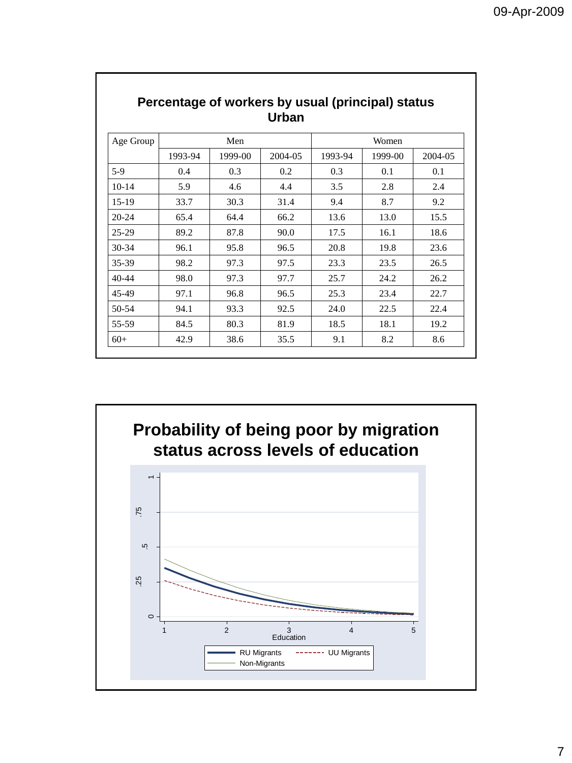| Age Group |         | Men     |         |         | Women   |         |
|-----------|---------|---------|---------|---------|---------|---------|
|           | 1993-94 | 1999-00 | 2004-05 | 1993-94 | 1999-00 | 2004-05 |
| $5-9$     | 0.4     | 0.3     | 0.2     | 0.3     | 0.1     | 0.1     |
| $10-14$   | 5.9     | 4.6     | 4.4     | 3.5     | 2.8     | 2.4     |
| $15-19$   | 33.7    | 30.3    | 31.4    | 9.4     | 8.7     | 9.2     |
| $20 - 24$ | 65.4    | 64.4    | 66.2    | 13.6    | 13.0    | 15.5    |
| $25-29$   | 89.2    | 87.8    | 90.0    | 17.5    | 16.1    | 18.6    |
| $30 - 34$ | 96.1    | 95.8    | 96.5    | 20.8    | 19.8    | 23.6    |
| 35-39     | 98.2    | 97.3    | 97.5    | 23.3    | 23.5    | 26.5    |
| $40 - 44$ | 98.0    | 97.3    | 97.7    | 25.7    | 24.2    | 26.2    |
| 45-49     | 97.1    | 96.8    | 96.5    | 25.3    | 23.4    | 22.7    |
| 50-54     | 94.1    | 93.3    | 92.5    | 24.0    | 22.5    | 22.4    |
| 55-59     | 84.5    | 80.3    | 81.9    | 18.5    | 18.1    | 19.2    |
| $60+$     | 42.9    | 38.6    | 35.5    | 9.1     | 8.2     | 8.6     |

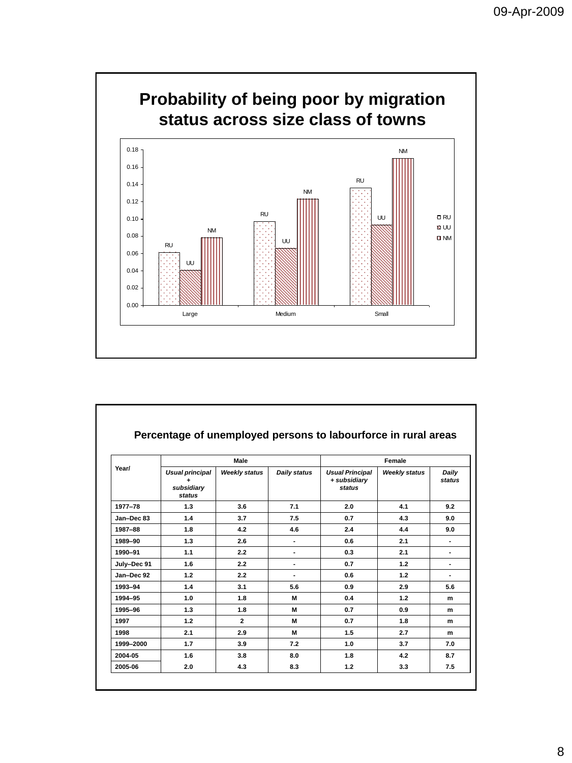

|             |                                              | Male                 |                     | Female                                           |                      |                        |  |  |
|-------------|----------------------------------------------|----------------------|---------------------|--------------------------------------------------|----------------------|------------------------|--|--|
| Year/       | Usual principal<br>۰<br>subsidiary<br>status | <b>Weekly status</b> | <b>Daily status</b> | <b>Usual Principal</b><br>+ subsidiary<br>status | <b>Weekly status</b> | Daily<br><b>status</b> |  |  |
| 1977-78     | 1.3                                          | 3.6                  | 7.1                 | 2.0                                              | 4.1                  | 9.2                    |  |  |
| Jan-Dec 83  | 1.4                                          | 3.7                  | 7.5                 | 0.7                                              | 4.3                  | 9.0                    |  |  |
| 1987-88     | 1.8                                          | 4.2                  | 4.6                 | 2.4                                              | 4.4                  | 9.0                    |  |  |
| 1989-90     | 1.3                                          | 2.6                  |                     | 0.6                                              | 2.1                  | ٠                      |  |  |
| 1990-91     | 1.1                                          | 2.2                  |                     | 0.3                                              | 2.1                  | ٠                      |  |  |
| July-Dec 91 | 1.6                                          | 2.2                  | ۰                   | 0.7                                              | 1.2                  | ٠                      |  |  |
| Jan-Dec 92  | 1.2                                          | 2.2                  | ۰                   | 0.6                                              | 1.2                  | ٠                      |  |  |
| 1993-94     | 1.4                                          | 3.1                  | 5.6                 | 0.9                                              | 2.9                  | 5.6                    |  |  |
| 1994-95     | 1.0                                          | 1.8                  | м                   | 0.4                                              | 1.2                  | m                      |  |  |
| 1995-96     | 1.3                                          | 1.8                  | м                   | 0.7                                              | 0.9                  | m                      |  |  |
| 1997        | $1.2$                                        | $\overline{2}$       | м                   | 0.7                                              | 1.8                  | m                      |  |  |
| 1998        | 2.1                                          | 2.9                  | м                   | 1.5                                              | 2.7                  | m                      |  |  |
| 1999-2000   | 1.7                                          | 3.9                  | 7.2                 | 1.0                                              | 3.7                  | 7.0                    |  |  |
| 2004-05     | 1.6                                          | 3.8                  | 8.0                 | 1.8                                              | 4.2                  | 8.7                    |  |  |
| 2005-06     | 2.0                                          | 4.3                  | 8.3                 | 1.2                                              | 3.3                  | 7.5                    |  |  |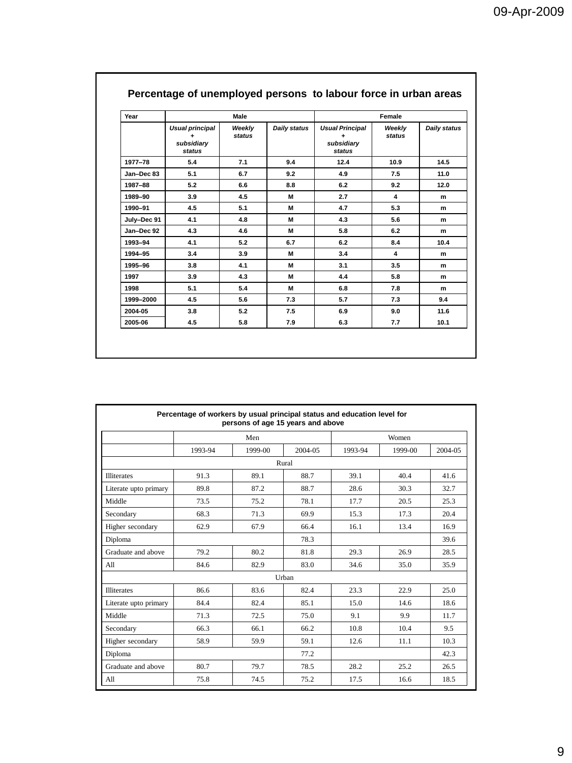| Year        |                                              | Male             |                     |                                                     | Female                  |              |
|-------------|----------------------------------------------|------------------|---------------------|-----------------------------------------------------|-------------------------|--------------|
|             | Usual principal<br>۰<br>subsidiary<br>status | Weekly<br>status | <b>Daily status</b> | <b>Usual Principal</b><br>۰<br>subsidiary<br>status | Weekly<br>status        | Daily status |
| 1977-78     | 5.4                                          | 7.1              | 9.4                 | 12.4                                                | 10.9                    | 14.5         |
| Jan-Dec 83  | 5.1                                          | 6.7              | 9.2                 | 4.9                                                 | 7.5                     | 11.0         |
| 1987-88     | 5.2                                          | 6.6              | 8.8                 | 6.2                                                 | 9.2                     | 12.0         |
| 1989-90     | 3.9                                          | 4.5              | M                   | 2.7                                                 | $\overline{\mathbf{4}}$ | m            |
| 1990-91     | 4.5                                          | 5.1              | M                   | 4.7                                                 | 5.3                     | m            |
| July-Dec 91 | 4.1                                          | 4.8              | M                   | 4.3                                                 | 5.6                     | m            |
| Jan-Dec 92  | 4.3                                          | 4.6              | M                   | 5.8                                                 | 6.2                     | m            |
| 1993-94     | 4.1                                          | 5.2              | 6.7                 | 6.2                                                 | 8.4                     | 10.4         |
| 1994-95     | 3.4                                          | 3.9              | M                   | 3.4                                                 | $\overline{\mathbf{4}}$ | m            |
| 1995-96     | 3.8                                          | 4.1              | M                   | 3.1                                                 | 3.5                     | m            |
| 1997        | 3.9                                          | 4.3              | M                   | 4.4                                                 | 5.8                     | m            |
| 1998        | 5.1                                          | 5.4              | M                   | 6.8                                                 | 7.8                     | m            |
| 1999-2000   | 4.5                                          | 5.6              | 7.3                 | 5.7                                                 | 7.3                     | 9.4          |
| 2004-05     | 3.8                                          | 5.2              | 7.5                 | 6.9                                                 | 9.0                     | 11.6         |
| 2005-06     | 4.5                                          | 5.8              | 7.9                 | 6.3                                                 | 7.7                     | 10.1         |

#### **Percentage of unemployed persons to labour force in urban areas**

|                       | Percentage of workers by usual principal status and education level for | persons of age 15 years and above |         |         |         |         |  |  |  |  |  |
|-----------------------|-------------------------------------------------------------------------|-----------------------------------|---------|---------|---------|---------|--|--|--|--|--|
|                       |                                                                         | Men                               |         | Women   |         |         |  |  |  |  |  |
|                       | 1993-94                                                                 | 1999-00                           | 2004-05 | 1993-94 | 1999-00 | 2004-05 |  |  |  |  |  |
| Rural                 |                                                                         |                                   |         |         |         |         |  |  |  |  |  |
| <b>Illiterates</b>    | 91.3                                                                    | 89.1                              | 88.7    | 39.1    | 40.4    | 41.6    |  |  |  |  |  |
| Literate upto primary | 89.8                                                                    | 87.2                              | 88.7    | 28.6    | 30.3    | 32.7    |  |  |  |  |  |
| Middle                | 73.5                                                                    | 75.2                              | 78.1    | 17.7    | 20.5    | 25.3    |  |  |  |  |  |
| Secondary             | 68.3                                                                    | 71.3                              | 69.9    | 15.3    | 17.3    | 20.4    |  |  |  |  |  |
| Higher secondary      | 62.9                                                                    | 67.9                              | 66.4    | 16.1    | 13.4    | 16.9    |  |  |  |  |  |
| Diploma               |                                                                         |                                   | 78.3    |         |         | 39.6    |  |  |  |  |  |
| Graduate and above    | 79.2                                                                    | 80.2                              | 81.8    | 29.3    | 26.9    | 28.5    |  |  |  |  |  |
| All                   | 84.6                                                                    | 82.9                              | 83.0    | 34.6    | 35.0    | 35.9    |  |  |  |  |  |
|                       |                                                                         |                                   | Urban   |         |         |         |  |  |  |  |  |
| <b>Illiterates</b>    | 86.6                                                                    | 83.6                              | 82.4    | 23.3    | 22.9    | 25.0    |  |  |  |  |  |
| Literate upto primary | 84.4                                                                    | 82.4                              | 85.1    | 15.0    | 14.6    | 18.6    |  |  |  |  |  |
| Middle                | 71.3                                                                    | 72.5                              | 75.0    | 9.1     | 9.9     | 11.7    |  |  |  |  |  |
| Secondary             | 66.3                                                                    | 66.1                              | 66.2    | 10.8    | 10.4    | 9.5     |  |  |  |  |  |
| Higher secondary      | 58.9                                                                    | 59.9                              | 59.1    | 12.6    | 11.1    | 10.3    |  |  |  |  |  |
| Diploma               |                                                                         |                                   | 77.2    |         |         | 42.3    |  |  |  |  |  |
| Graduate and above    | 80.7                                                                    | 79.7                              | 78.5    | 28.2    | 25.2    | 26.5    |  |  |  |  |  |
| A11                   | 75.8                                                                    | 74.5                              | 75.2    | 17.5    | 16.6    | 18.5    |  |  |  |  |  |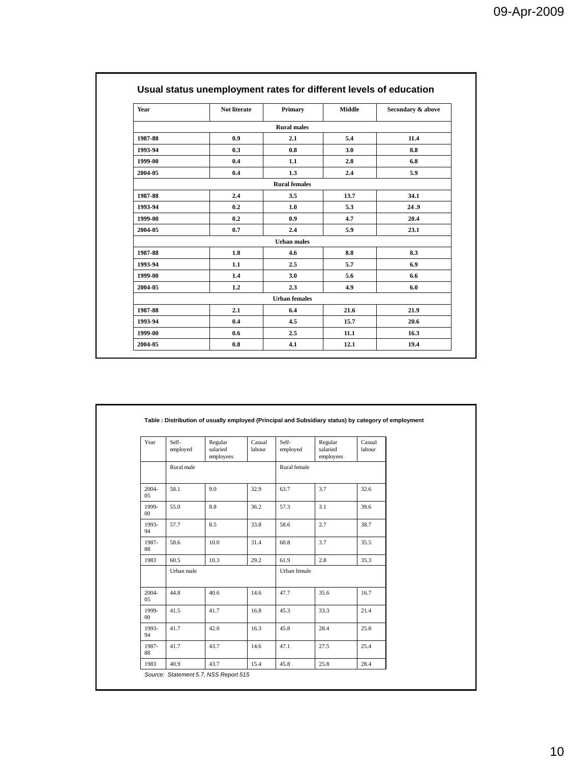| Year    | Not literate | Primary              | Middle | Secondary & above |
|---------|--------------|----------------------|--------|-------------------|
|         |              | <b>Rural males</b>   |        |                   |
| 1987-88 | 0.9          | 2.1                  | 5.4    | 11.4              |
| 1993-94 | 0.3          | 0.8                  | 3.0    | 8.8               |
| 1999-00 | 0.4          | 1.1                  | 2.8    | 6.8               |
| 2004-05 | 0.4          | 1.3                  | 2.4    | 5.9               |
|         |              | <b>Rural</b> females |        |                   |
| 1987-88 | 2.4          | 3.5                  | 13.7   | 34.1              |
| 1993-94 | 0.2          | 1.0                  | 5.3    | 24.9              |
| 1999-00 | 0.2          | 0.9                  | 4.7    | 20.4              |
| 2004-05 | 0.7          | 2.4                  | 5.9    | 23.1              |
|         |              | <b>Urban males</b>   |        |                   |
| 1987-88 | 1.8          | 4.6                  | 8.8    | 8.3               |
| 1993-94 | 1.1          | 2.5                  | 5.7    | 6.9               |
| 1999-00 | 1.4          | 3.0                  | 5.6    | 6.6               |
| 2004-05 | 1.2          | 2.3                  | 4.9    | 6.0               |
|         |              | <b>Urban</b> females |        |                   |
| 1987-88 | 2.1          | 6.4                  | 21.6   | 21.9              |
| 1993-94 | 0.4          | 4.5                  | 15.7   | 20.6              |
| 1999-00 | 0.6          | 2.5                  | 11.1   | 16.3              |
| 2004-05 | 0.8          | 4.1                  | 12.1   | 19.4              |

| Year            | Self-<br>employed | Regular<br>salaried<br>employees | Casual<br>labour | Self-<br>employed | Regular<br>salaried<br>employees | Casual<br>labour |
|-----------------|-------------------|----------------------------------|------------------|-------------------|----------------------------------|------------------|
|                 | Rural male        |                                  |                  | Rural female      |                                  |                  |
| 2004-<br>05     | 58.1              | 9.0                              | 32.9             | 63.7              | 3.7                              | 32.6             |
| 1999-<br>$00\,$ | 55.0              | 8.8                              | 36.2             | 57.3              | 3.1                              | 39.6             |
| 1993-<br>94     | 57.7              | 8.5                              | 33.8             | 58.6              | 2.7                              | 38.7             |
| 1987-<br>88     | 58.6              | 10.0                             | 31.4             | 60.8              | 3.7                              | 35.5             |
| 1983            | 60.5              | 10.3                             | 29.2             | 61.9              | 2.8                              | 35.3             |
|                 | Urban male        |                                  | Urban female     |                   |                                  |                  |
| 2004-<br>05     | 44.8              | 40.6                             | 14.6             | 47.7              | 35.6                             | 16.7             |
| 1999-<br>$00\,$ | 41.5              | 41.7                             | 16.8             | 45.3              | 33.3                             | 21.4             |
| 1993-<br>94     | 41.7              | 42.0                             | 16.3             | 45.8              | 28.4                             | 25.8             |
| 1987-<br>88     | 41.7              | 43.7                             | 14.6             | 47.1              | 27.5                             | 25.4             |
| 1983            | 40.9              | 43.7                             | 15.4             | 45.8              | 25.8                             | 28.4             |

10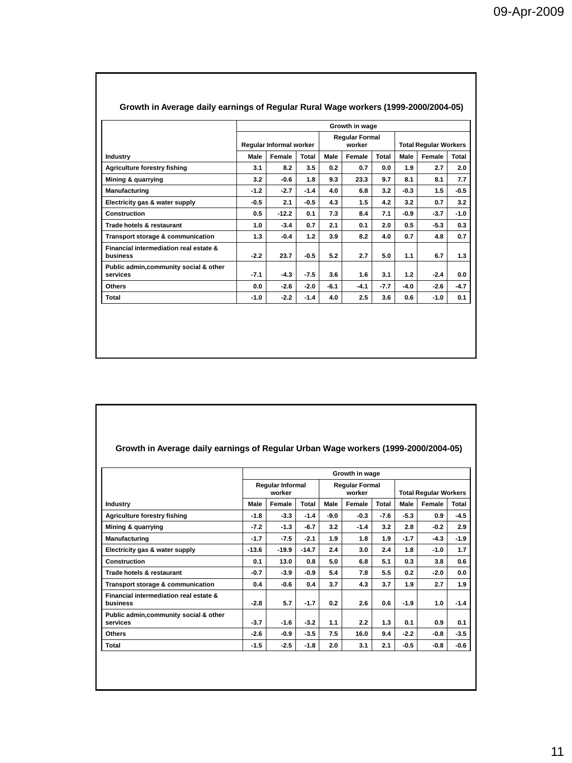|                                                    |                         | Growth in wage |        |                                 |        |        |                              |        |        |  |  |
|----------------------------------------------------|-------------------------|----------------|--------|---------------------------------|--------|--------|------------------------------|--------|--------|--|--|
|                                                    | Regular Informal worker |                |        | <b>Regular Formal</b><br>worker |        |        | <b>Total Regular Workers</b> |        |        |  |  |
| <b>Industry</b>                                    | Male                    | Female         | Total  | Male                            | Female | Total  | Male                         | Female | Total  |  |  |
| <b>Agriculture forestry fishing</b>                | 3.1                     | 8.2            | 3.5    | 0.2                             | 0.7    | 0.0    | 1.9                          | 2.7    | 2.0    |  |  |
| Mining & quarrying                                 | 3.2                     | $-0.6$         | 1.8    | 9.3                             | 23.3   | 9.7    | 8.1                          | 8.1    | 7.7    |  |  |
| Manufacturing                                      | $-1.2$                  | $-2.7$         | $-1.4$ | 4.0                             | 6.8    | 3.2    | $-0.3$                       | 1.5    | $-0.5$ |  |  |
| Electricity gas & water supply                     | $-0.5$                  | 2.1            | $-0.5$ | 4.3                             | 1.5    | 4.2    | 3.2                          | 0.7    | 3.2    |  |  |
| Construction                                       | 0.5                     | $-12.2$        | 0.1    | 7.3                             | 8.4    | 7.1    | -0.9                         | $-3.7$ | $-1.0$ |  |  |
| Trade hotels & restaurant                          | 1.0                     | $-3.4$         | 0.7    | 2.1                             | 0.1    | 2.0    | 0.5                          | $-5.3$ | 0.3    |  |  |
| Transport storage & communication                  | 1.3                     | $-0.4$         | 1.2    | 3.9                             | 8.2    | 4.0    | 0.7                          | 4.8    | 0.7    |  |  |
| Financial intermediation real estate &<br>business | $-2.2$                  | 23.7           | $-0.5$ | 5.2                             | 2.7    | 5.0    | 1.1                          | 6.7    | 1.3    |  |  |
| Public admin, community social & other<br>services | $-7.1$                  | $-4.3$         | $-7.5$ | 3.6                             | 1.6    | 3.1    | 1.2                          | $-2.4$ | 0.0    |  |  |
| <b>Others</b>                                      | 0.0                     | $-2.6$         | $-2.0$ | $-6.1$                          | $-4.1$ | $-7.7$ | -4.0                         | $-2.6$ | $-4.7$ |  |  |
| Total                                              | $-1.0$                  | $-2.2$         | $-1.4$ | 4.0                             | 2.5    | 3.6    | 0.6                          | $-1.0$ | 0.1    |  |  |

#### **Growth in Average daily earnings of Regular Rural Wage workers (1999-2000/2004-05)**

#### **Growth in Average daily earnings of Regular Urban Wage workers (1999-2000/2004-05)**

|                                                    |                         | Regular Informal<br>worker |         |        | <b>Regular Formal</b><br>worker |        |        | <b>Total Regular Workers</b> |        |  |
|----------------------------------------------------|-------------------------|----------------------------|---------|--------|---------------------------------|--------|--------|------------------------------|--------|--|
| <b>Industry</b>                                    | Female<br>Total<br>Male |                            | Male    | Female | Total                           | Male   | Female | Total                        |        |  |
| <b>Agriculture forestry fishing</b>                | $-1.8$                  | $-3.3$                     | $-1.4$  | $-9.0$ | $-0.3$                          | $-7.6$ | $-5.3$ | 0.9                          | -4.5   |  |
| Mining & quarrying                                 | $-7.2$                  | $-1.3$                     | $-6.7$  | 3.2    | $-1.4$                          | 3.2    | 2.8    | $-0.2$                       | 2.9    |  |
| Manufacturing                                      | $-1.7$                  | $-7.5$                     | $-2.1$  | 1.9    | 1.8                             | 1.9    | $-1.7$ | $-4.3$                       | $-1.9$ |  |
| Electricity gas & water supply                     | $-13.6$                 | $-19.9$                    | $-14.7$ | 2.4    | 3.0                             | 2.4    | 1.8    | $-1.0$                       | 1.7    |  |
| Construction                                       | 0.1                     | 13.0                       | 0.8     | 5.0    | 6.8                             | 5.1    | 0.3    | 3.8                          | 0.6    |  |
| Trade hotels & restaurant                          | $-0.7$                  | $-3.9$                     | $-0.9$  | 5.4    | 7.8                             | 5.5    | 0.2    | $-2.0$                       | 0.0    |  |
| Transport storage & communication                  | 0.4                     | $-0.6$                     | 0.4     | 3.7    | 4.3                             | 3.7    | 1.9    | 2.7                          | 1.9    |  |
| Financial intermediation real estate &<br>business | $-2.8$                  | 5.7                        | $-1.7$  | 0.2    | 2.6                             | 0.6    | $-1.9$ | 1.0                          | $-1.4$ |  |
| Public admin,community social & other<br>services  | $-3.7$                  | $-1.6$                     | $-3.2$  | 1.1    | 2.2                             | 1.3    | 0.1    | 0.9                          | 0.1    |  |
| Others                                             | $-2.6$                  | $-0.9$                     | $-3.5$  | 7.5    | 16.0                            | 9.4    | $-2.2$ | $-0.8$                       | $-3.5$ |  |
| Total                                              | $-1.5$                  | $-2.5$                     | -1.8    | 2.0    | 3.1                             | 2.1    | $-0.5$ | $-0.8$                       | -0.6   |  |
|                                                    |                         |                            |         |        |                                 |        |        |                              |        |  |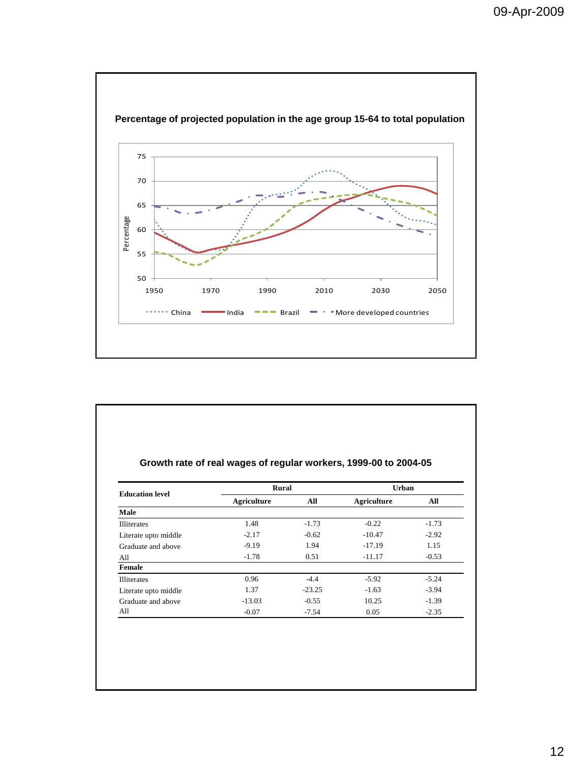

| Growth rate of real wages of regular workers, 1999-00 to 2004-05 |  |  |  |
|------------------------------------------------------------------|--|--|--|
|                                                                  |  |  |  |

| <b>Education level</b> | Rural       |          | Urban       |         |  |  |
|------------------------|-------------|----------|-------------|---------|--|--|
|                        | Agriculture | All      | Agriculture | All     |  |  |
| Male                   |             |          |             |         |  |  |
| <b>Illiterates</b>     | 1.48        | $-1.73$  | $-0.22$     | $-1.73$ |  |  |
| Literate upto middle   | $-2.17$     | $-0.62$  | $-10.47$    | $-2.92$ |  |  |
| Graduate and above     | $-9.19$     | 1.94     | $-17.19$    | 1.15    |  |  |
| All                    | $-1.78$     | 0.51     | $-11.17$    | $-0.53$ |  |  |
| Female                 |             |          |             |         |  |  |
| <b>Illiterates</b>     | 0.96        | $-4.4$   | $-5.92$     | $-5.24$ |  |  |
| Literate upto middle   | 1.37        | $-23.25$ | $-1.63$     | $-3.94$ |  |  |
| Graduate and above     | $-13.03$    | $-0.55$  | 10.25       | $-1.39$ |  |  |
| All                    | $-0.07$     | $-7.54$  | 0.05        | $-2.35$ |  |  |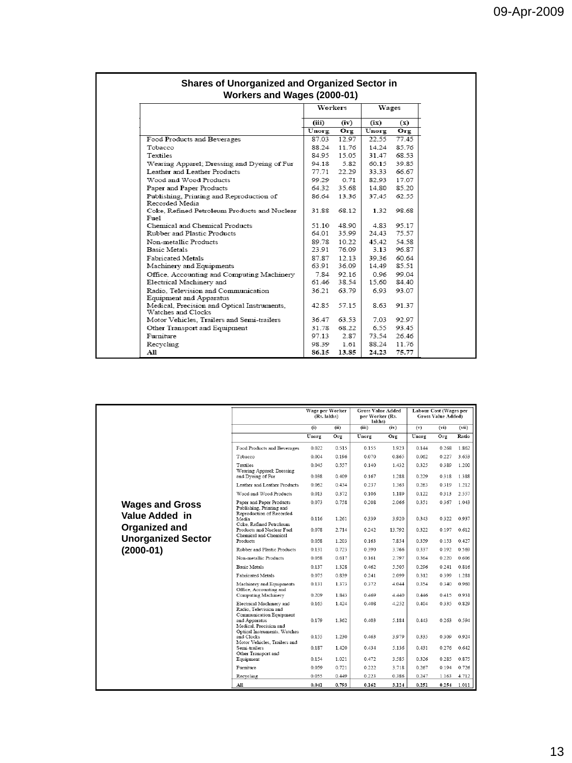|                                                                   | Workers       |       |       | Wages |  |
|-------------------------------------------------------------------|---------------|-------|-------|-------|--|
|                                                                   | (iii)<br>(iv) |       | (ix)  | (x)   |  |
|                                                                   | Unorg         | Org   | Unorg | Org   |  |
| Food Products and Beverages                                       | 87.03         | 12.97 | 22.55 | 77.45 |  |
| Tobacco                                                           | 88.24         | 11.76 | 14.24 | 85.76 |  |
| Textiles                                                          | 84.95         | 15.05 | 31.47 | 68.53 |  |
| Wearing Apparel; Dressing and Dyeing of Fur                       | 94.18         | 5.82  | 60.15 | 39.85 |  |
| Leather and Leather Products                                      | 77.71         | 22.29 | 33.33 | 66.67 |  |
| Wood and Wood Products                                            | 99.29         | 0.71  | 82.93 | 17.07 |  |
| Paper and Paper Products                                          | 64.32         | 35.68 | 14.80 | 85.20 |  |
| Publishing, Printing and Reproduction of<br>Recorded Media        | 86.64         | 13.36 | 37.45 | 62.55 |  |
| Coke, Refined Petroleum Products and Nuclear<br>Fuel              | 31.88         | 68.12 | 1.32  | 98.68 |  |
| Chemical and Chemical Products                                    | 51.10         | 48.90 | 4.83  | 95.17 |  |
| Rubber and Plastic Products                                       | 64.01         | 35.99 | 24.43 | 75.57 |  |
| Non-metallic Products                                             | 89.78         | 10.22 | 45.42 | 54.58 |  |
| <b>Basic Metals</b>                                               | 23.91         | 76.09 | 3.13  | 96.87 |  |
| <b>Fabricated Metals</b>                                          | 87.87         | 12.13 | 39.36 | 60.64 |  |
| Machinery and Equipments                                          | 63.91         | 36.09 | 14.49 | 85.51 |  |
| Office, Accounting and Computing Machinery                        | 7.84          | 92.16 | 0.96  | 99.04 |  |
| Electrical Machinery and                                          | 61.46         | 38.54 | 15.60 | 84.40 |  |
| Radio. Television and Communication<br>Equipment and Apparatus    | 36.21         | 63.79 | 6.93  | 93.07 |  |
| Medical, Precision and Optical Instruments,<br>Watches and Clocks | 42.85         | 57.15 | 8.63  | 91.37 |  |
| Motor Vehicles, Trailers and Semi-trailers                        | 36.47         | 63.53 | 7.03  | 92.97 |  |
| Other Transport and Equipment                                     | 31.78         | 68.22 | 6.55  | 93.45 |  |
| Furniture                                                         | 97.13         | 2.87  | 73.54 | 26.46 |  |
| Recycling                                                         | 98.39         | 1.61  | 88.24 | 11.76 |  |
| All                                                               | 86.15         | 13.85 | 24.23 | 75.77 |  |

|                           |                                                                                  | Wage per Worker<br>(Rs. lakhs) |                | <b>Gross Value Added</b><br>per Worker (Rs.<br>lakhs) |                | Labour Cost (Wages per<br>Gross Value Added) |                |                |
|---------------------------|----------------------------------------------------------------------------------|--------------------------------|----------------|-------------------------------------------------------|----------------|----------------------------------------------|----------------|----------------|
|                           |                                                                                  | (i)                            | (ii)           | (iii)                                                 | (iv)           | (v)                                          | (vi)           | (vii)          |
|                           |                                                                                  | Unorg                          | Org            | Unorg                                                 | Org            | Unorg                                        | Org            | Ratio          |
|                           | Food Products and Beverages                                                      | 0.022                          | 0.515          | 0.155                                                 | 1.923          | 0.144                                        | 0.268          | 1.862          |
|                           | Tobacco                                                                          | 0.004                          | 0.196          | 0.070                                                 | 0.865          | 0.062                                        | 0.227          | 3.653          |
|                           | <b>Textiles</b><br>Wearing Apparel; Dressing<br>and Dveing of Fur                | 0.045<br>0.038                 | 0.557<br>0.409 | 0.140<br>0.167                                        | 1.432<br>1.288 | 0.325<br>0.229                               | 0.389<br>0.318 | 1.200<br>1.388 |
|                           | Leather and Leather Products                                                     | 0.062                          | 0.434          | 0.237                                                 | 1.363          | 0.263                                        | 0.319          | 1.212          |
|                           | Wood and Wood Products                                                           | 0.013                          | 0.372          | 0.106                                                 | 1.189          | 0.122                                        | 0.313          | 2.557          |
| <b>Wages and Gross</b>    | Paper and Paper Products<br>Publishing, Printing and<br>Reproduction of Recorded | 0.073                          | 0.758          | 0.208                                                 | 2.066          | 0.351                                        | 0.367          | 1.043          |
| Value Added in            | Media<br>Coke, Refined Petroleum                                                 | 0.116                          | 1.261          | 0.339                                                 | 3.920          | 0.343                                        | 0.322          | 0.937          |
| Organized and             | Products and Nuclear Fuel<br>Chemical and Chemical                               | 0.078                          | 2.714          | 0.242                                                 | 13 792         | 0.322                                        | 0.197          | 0.612          |
| <b>Unorganized Sector</b> | Products                                                                         | 0.058                          | 1 203          | 0.163                                                 | 7.854          | 0359                                         | 0.153          | 0.427          |
| $(2000-01)$               | Rubber and Plastic Products                                                      | 0.131                          | 0.723          | 0.390                                                 | 3.766          | 0.337                                        | 0.192          | 0.569          |
|                           | Non-metallic Products                                                            | 0.058                          | 0.617          | 0.161                                                 | 2.797          | 0.364                                        | 0.220          | 0.606          |
|                           | <b>Basic Metals</b>                                                              | 0.137                          | 1.328          | 0.462                                                 | 5.505          | 0.296                                        | 0.241          | 0.816          |
|                           | Fabricated Metals                                                                | 0.075                          | 0.839          | 0.241                                                 | 2.099          | 0.312                                        | 0.399          | 1.281          |
|                           | Machinery and Equipments<br>Office, Accounting and                               | 0.131                          | 1.373          | 0.372                                                 | 4.044          | 0.354                                        | 0.340          | 0.960          |
|                           | Computing Machinery                                                              | 0.209                          | 1.843          | 0.469                                                 | 4.440          | 0.446                                        | 0.415          | 0.931          |
|                           | Electrical Machinery and<br>Radio, Television and<br>Communication Equipment     | 0.165                          | 1.424          | 0.408                                                 | 4.252          | 0.404                                        | 0.335          | 0.829          |
|                           | and Apparatus<br>Medical, Precision and                                          | 0.179                          | 1.362          | 0.403                                                 | 5.184          | 0.443                                        | 0.263          | 0.594          |
|                           | Optical Instruments, Watches<br>and Clocks<br>Motor Vehicles, Trailers and       | 0.155                          | 1.230          | 0.463                                                 | 3.979          | 0.335                                        | 0.309          | 0.924          |
|                           | Semi-trailers<br>Other Transport and                                             | 0.187                          | 1.420          | 0.434                                                 | 5.136          | 0.431                                        | 0.276          | 0.642          |
|                           | Equipment                                                                        | 0.154                          | 1.021          | 0.472                                                 | 3.585          | 0.326                                        | 0.285          | 0.875          |
|                           | <b>Furniture</b>                                                                 | 0.059                          | 0.721          | 0.222                                                 | 3.718          | 0.267                                        | 0.194          | 0.726          |
|                           | Recycling                                                                        | 0.055                          | 0.449          | 0.223                                                 | 0.386          | 0.247                                        | 1.163          | 4.712          |
|                           | All                                                                              | 0.041                          | 0.793          | 0.162                                                 | 3.124          | 0.251                                        |                | $0.254$ 1.011  |